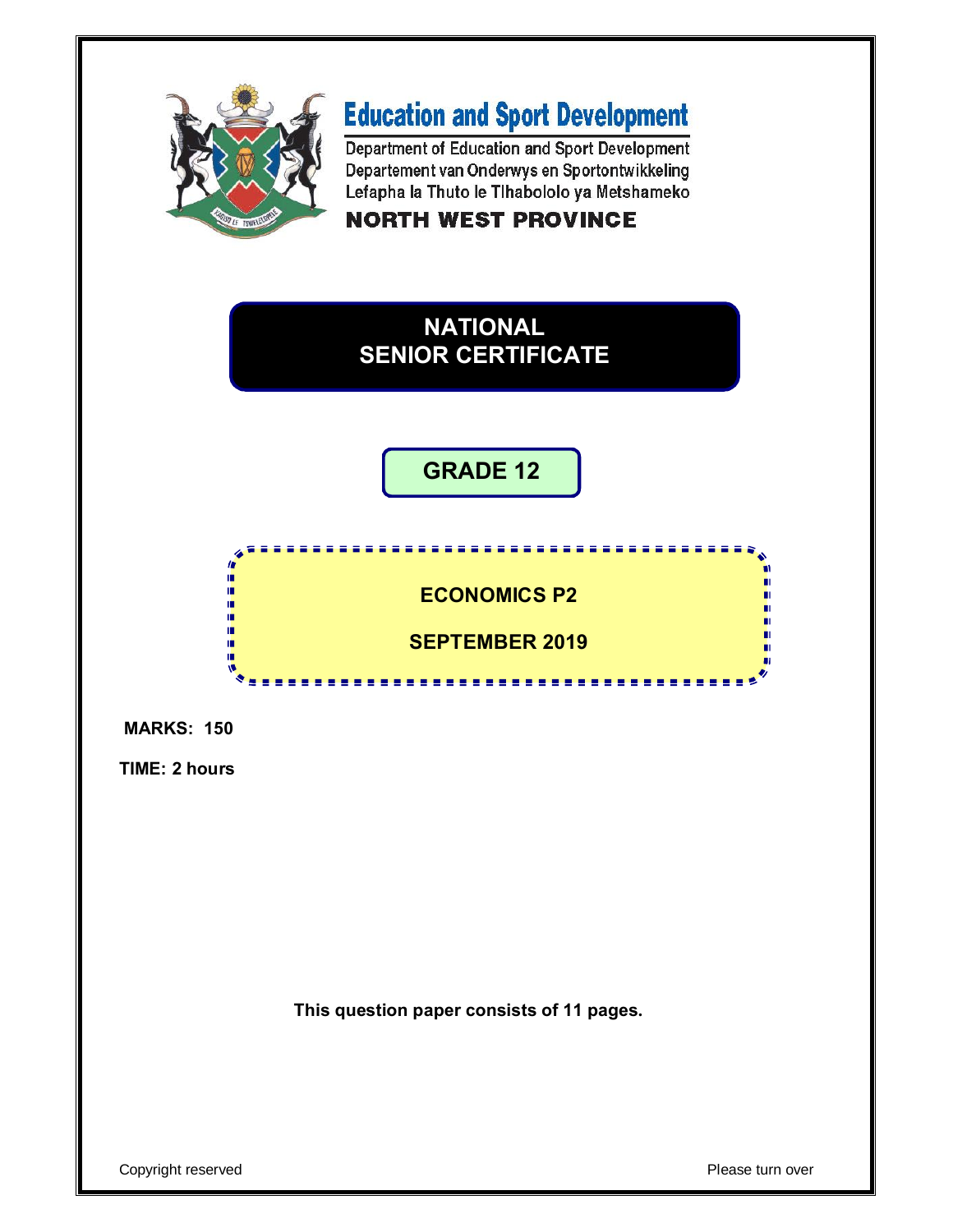

# **Education and Sport Development**

Department of Education and Sport Development Departement van Onderwys en Sportontwikkeling Lefapha la Thuto le Tlhabololo ya Metshameko **NORTH WEST PROVINCE** 



## **GRADE 12**





**TIME: 2 hours**

**This question paper consists of 11 pages.**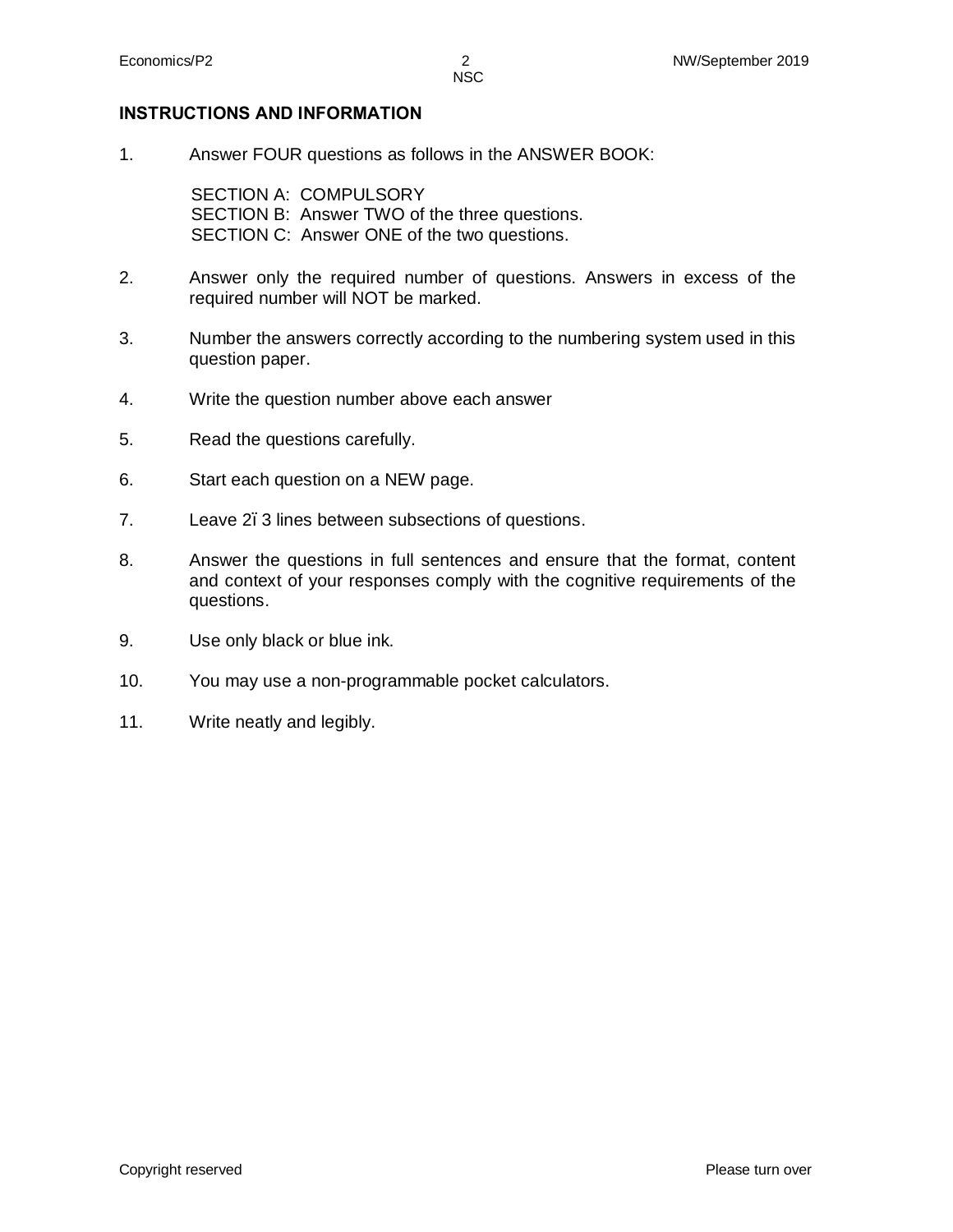#### **INSTRUCTIONS AND INFORMATION**

1. Answer FOUR questions as follows in the ANSWER BOOK:

SECTION A: COMPULSORY SECTION B: Answer TWO of the three questions. SECTION C: Answer ONE of the two questions.

- 2. Answer only the required number of questions. Answers in excess of the required number will NOT be marked.
- 3. Number the answers correctly according to the numbering system used in this question paper.
- 4. Write the question number above each answer
- 5. Read the questions carefully.
- 6. Start each question on a NEW page.
- 7. Leave 2.3 lines between subsections of questions.
- 8. Answer the questions in full sentences and ensure that the format, content and context of your responses comply with the cognitive requirements of the questions.
- 9. Use only black or blue ink.
- 10. You may use a non-programmable pocket calculators.
- 11. Write neatly and legibly.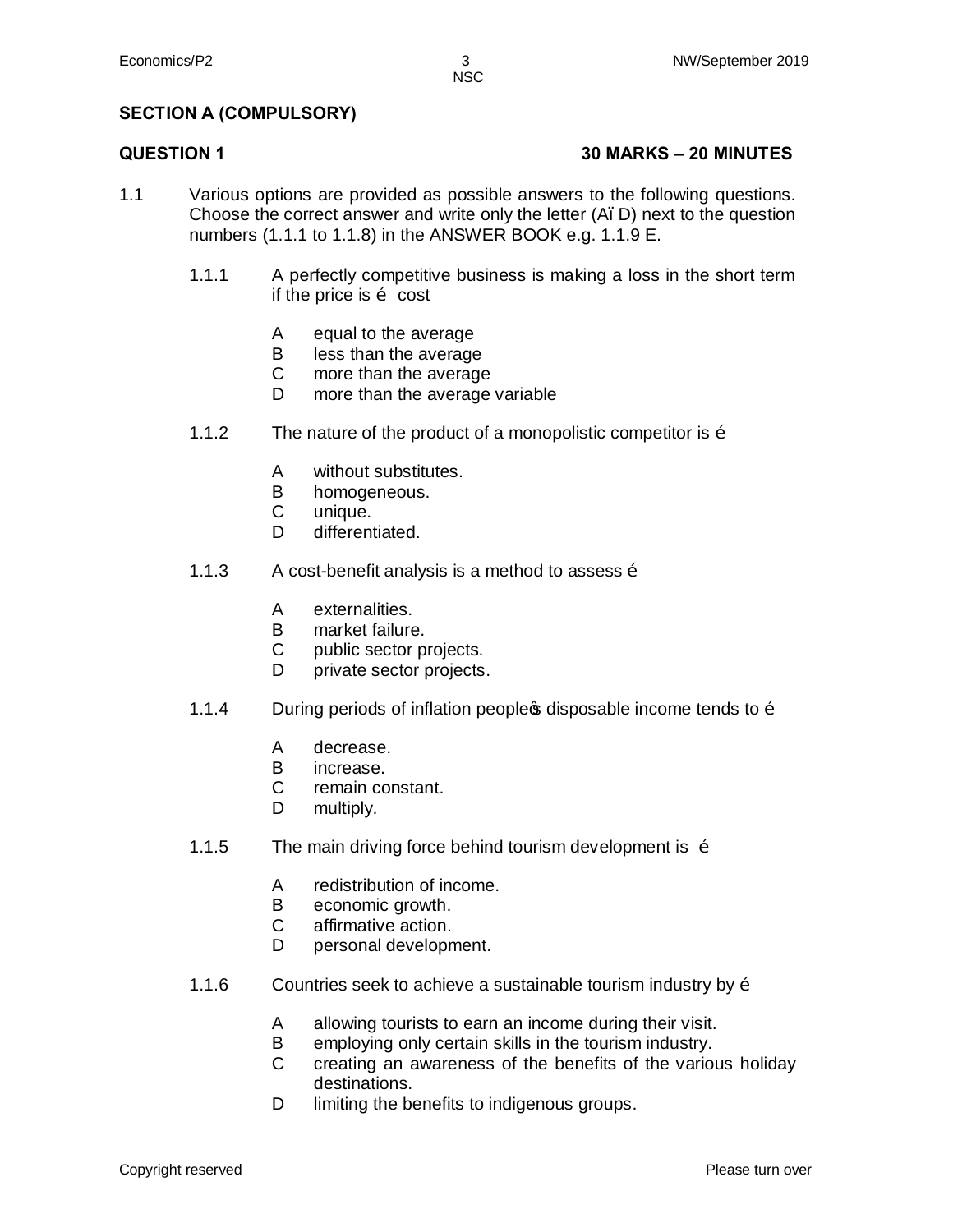NSC

#### **SECTION A (COMPULSORY)**

#### **QUESTION 1 30 MARKS – 20 MINUTES**

- 1.1 Various options are provided as possible answers to the following questions. Choose the correct answer and write only the letter  $(A, D)$  next to the question numbers (1.1.1 to 1.1.8) in the ANSWER BOOK e.g. 1.1.9 E.
	- 1.1.1 A perfectly competitive business is making a loss in the short term if the price is  $\tilde{\mathrm{o}}$  cost
		- A equal to the average
		- B less than the average
		- $\mathbf{C}$ more than the average
		- D. more than the average variable
	- 1.1.2 The nature of the product of a monopolistic competitor is  $\ddot{\text{o}}$ 
		- A without substitutes.
		- B homogeneous.
		- C unique.
		- D. differentiated.
	- 1.1.3 A cost-benefit analysis is a method to assess  $\ddot{\text{o}}$ 
		- A externalities.
		- B market failure.
		- $\mathcal{C}$ public sector projects.
		- D private sector projects.
	- 1.1.4 During periods of inflation people income tends to  $\ddot{\text{o}}$ 
		- A decrease.
		- B increase.
		- $\mathsf{C}$ remain constant.
		- D multiply.
	- 1.1.5 The main driving force behind tourism development is  $\ddot{\text{o}}$ 
		- A redistribution of income.
		- B economic growth.
		- C affirmative action.
		- D personal development.
	- 1.1.6 Countries seek to achieve a sustainable tourism industry by  $\delta$ 
		- A allowing tourists to earn an income during their visit.
		- B employing only certain skills in the tourism industry.
		- $\mathcal{C}$ creating an awareness of the benefits of the various holiday destinations.
		- D limiting the benefits to indigenous groups.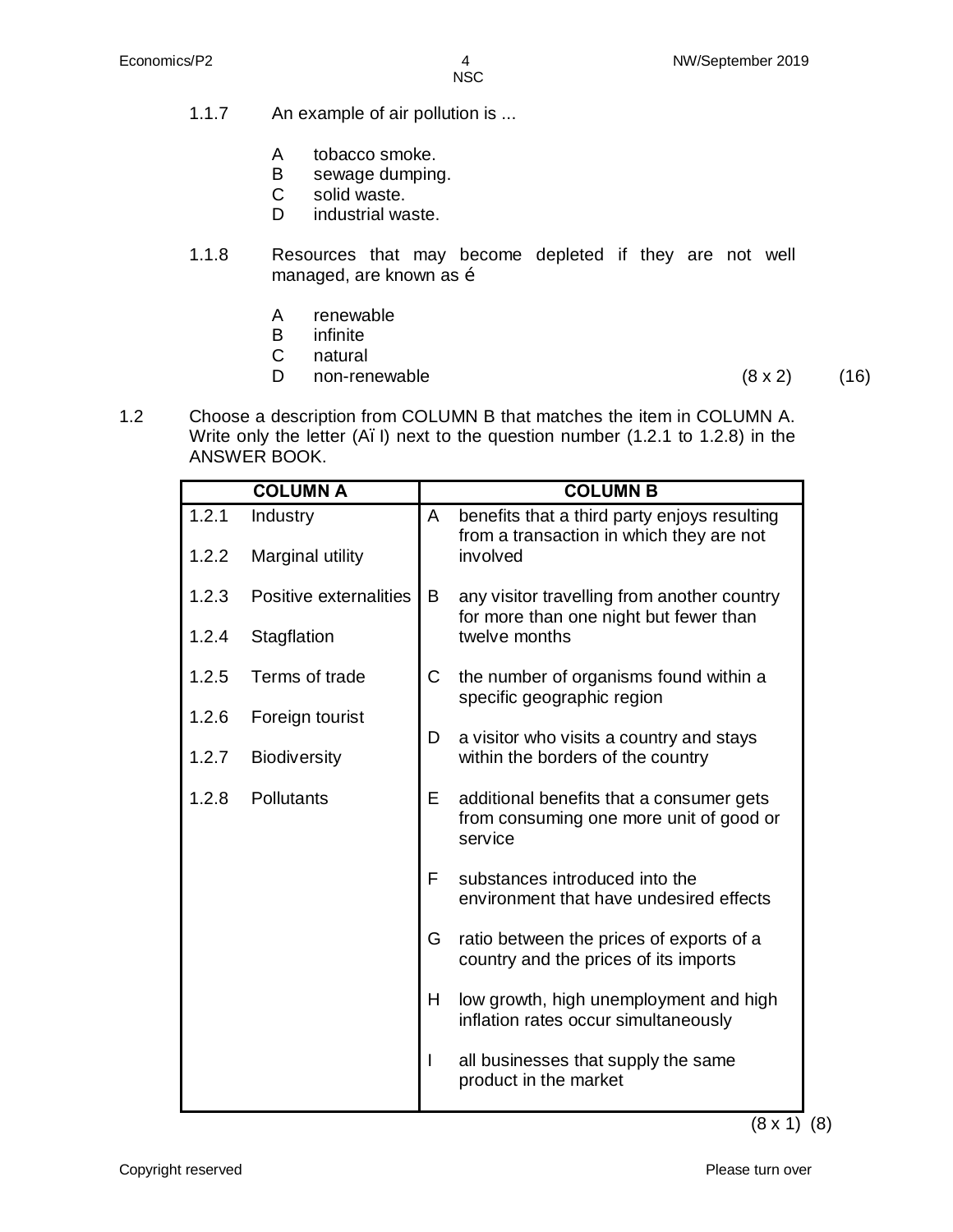- 1.1.7 An example of air pollution is ...
	- A tobacco smoke.
	- B sewage dumping.
	- C solid waste.
	- D industrial waste.
- 1.1.8 Resources that may become depleted if they are not well managed, are known as  $\ddot{\text{o}}$ 
	- A renewable
	- B infinite
	- C natural
	- D. non-renewable  $(8 \times 2)$  (16)

1.2 Choose a description from COLUMN B that matches the item in COLUMN A. Write only the letter (A. I) next to the question number (1.2.1 to 1.2.8) in the ANSWER BOOK.

| <b>COLUMN A</b> |                        |             | <b>COLUMN B</b>                                                                                |  |  |
|-----------------|------------------------|-------------|------------------------------------------------------------------------------------------------|--|--|
| 1.2.1           | Industry               | A           | benefits that a third party enjoys resulting<br>from a transaction in which they are not       |  |  |
| 1.2.2           | Marginal utility       |             | involved                                                                                       |  |  |
| 1.2.3           | Positive externalities | B           | any visitor travelling from another country<br>for more than one night but fewer than          |  |  |
| 1.2.4           | Stagflation            |             | twelve months                                                                                  |  |  |
| 1.2.5           | Terms of trade         | $\mathsf C$ | the number of organisms found within a<br>specific geographic region                           |  |  |
| 1.2.6           | Foreign tourist        | D           | a visitor who visits a country and stays                                                       |  |  |
| 1.2.7           | <b>Biodiversity</b>    |             | within the borders of the country                                                              |  |  |
| 1.2.8           | <b>Pollutants</b>      | E           | additional benefits that a consumer gets<br>from consuming one more unit of good or<br>service |  |  |
|                 |                        | F           | substances introduced into the<br>environment that have undesired effects                      |  |  |
|                 |                        | G           | ratio between the prices of exports of a<br>country and the prices of its imports              |  |  |
|                 |                        | Н           | low growth, high unemployment and high<br>inflation rates occur simultaneously                 |  |  |
|                 |                        | I           | all businesses that supply the same<br>product in the market                                   |  |  |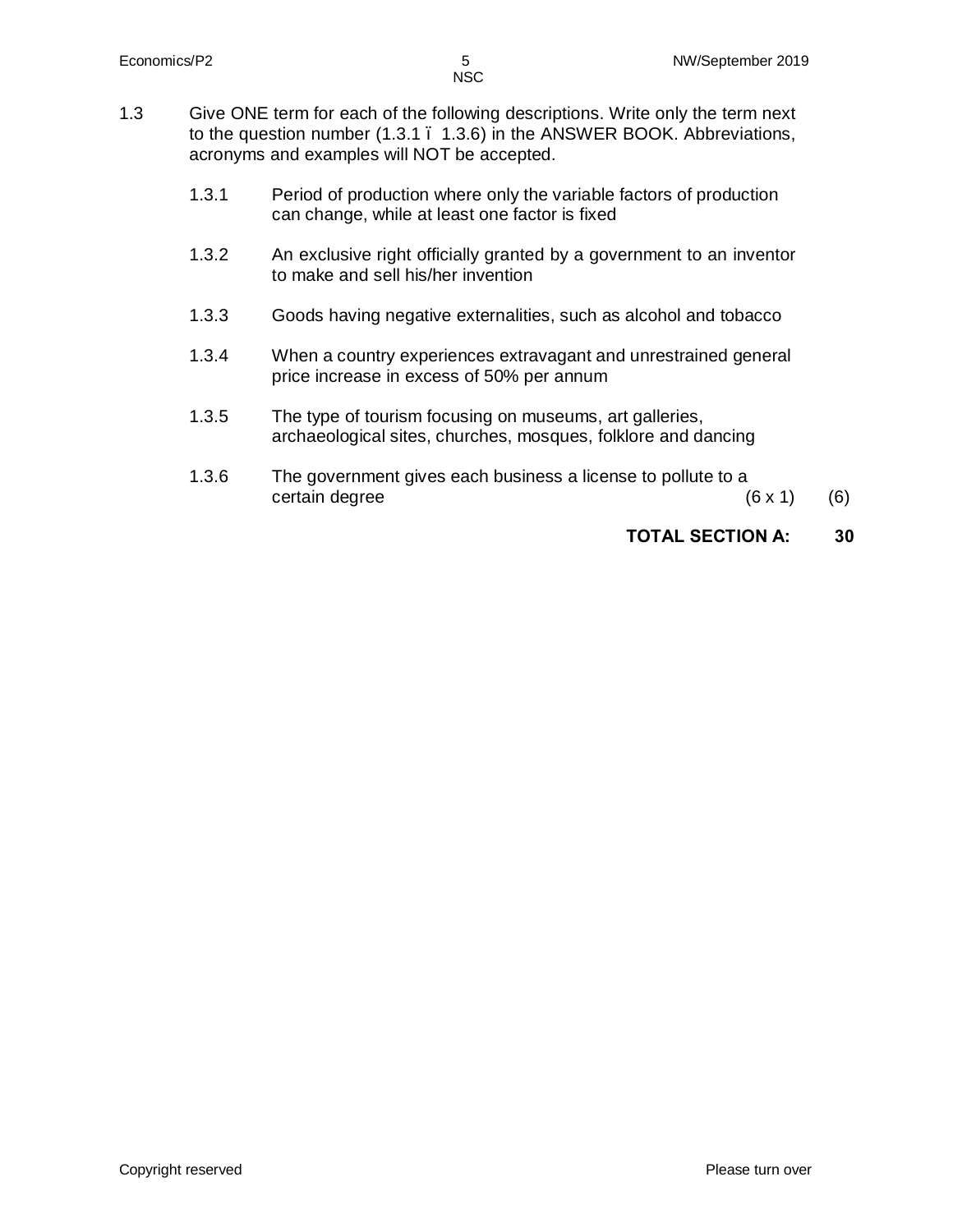- 1.3 Give ONE term for each of the following descriptions. Write only the term next to the question number (1.3.1 – 1.3.6) in the ANSWER BOOK. Abbreviations, acronyms and examples will NOT be accepted.
	- 1.3.1 Period of production where only the variable factors of production can change, while at least one factor is fixed
	- 1.3.2 An exclusive right officially granted by a government to an inventor to make and sell his/her invention
	- 1.3.3 Goods having negative externalities, such as alcohol and tobacco
	- 1.3.4 When a country experiences extravagant and unrestrained general price increase in excess of 50% per annum
	- 1.3.5 The type of tourism focusing on museums, art galleries, archaeological sites, churches, mosques, folklore and dancing
	- 1.3.6 The government gives each business a license to pollute to a certain degree  $(6 \times 1)$  (6)

#### **TOTAL SECTION A: 30**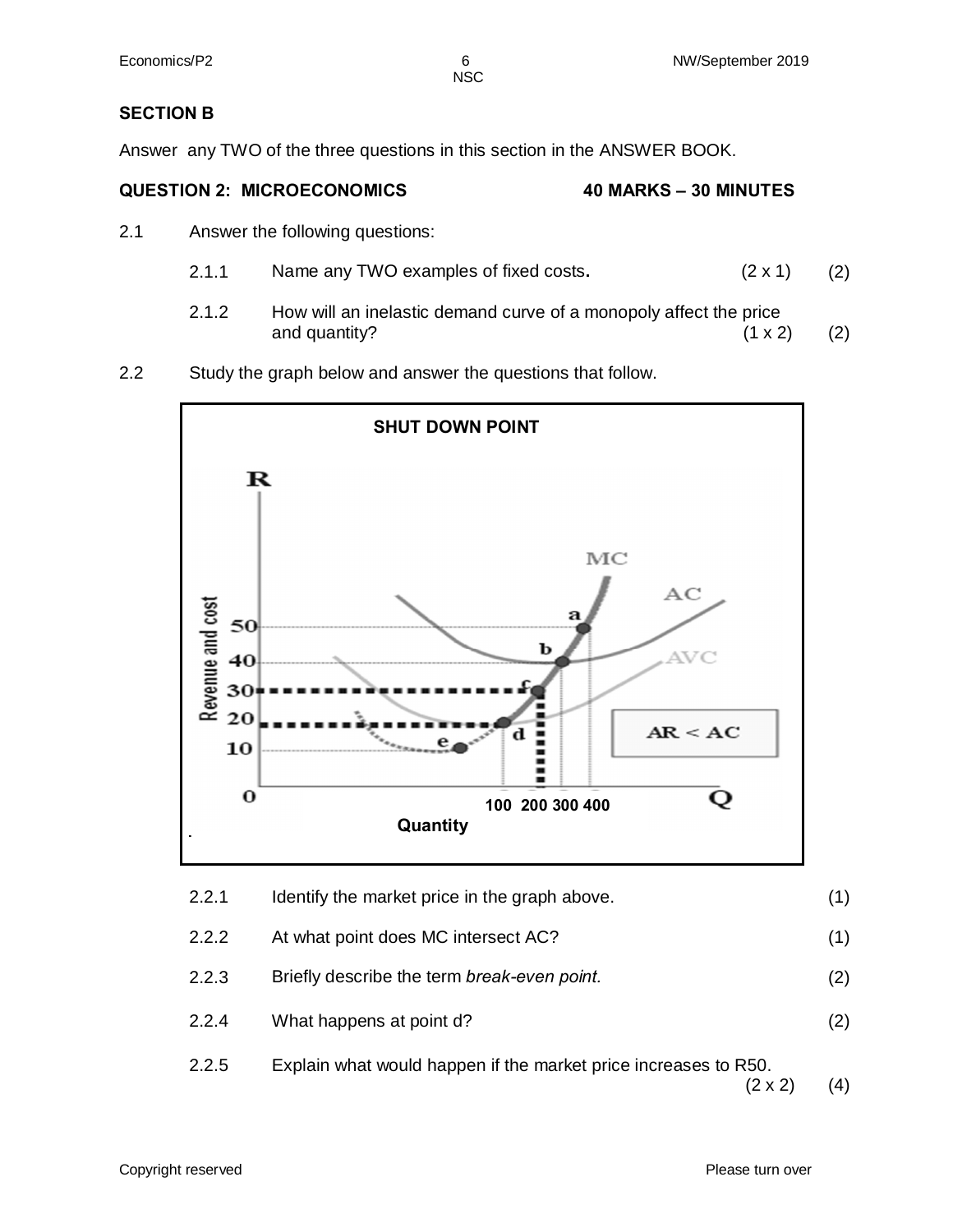NSC

#### **SECTION B**

Answer any TWO of the three questions in this section in the ANSWER BOOK.

#### **QUESTION 2: MICROECONOMICS 40 MARKS – 30 MINUTES**

- 2.1 Answer the following questions:
	- 2.1.1 Name any TWO examples of fixed costs**.** (2 x 1) (2)
	- 2.1.2 How will an inelastic demand curve of a monopoly affect the price and quantity?  $(1 \times 2)$  (2)
- 2.2 Study the graph below and answer the questions that follow.

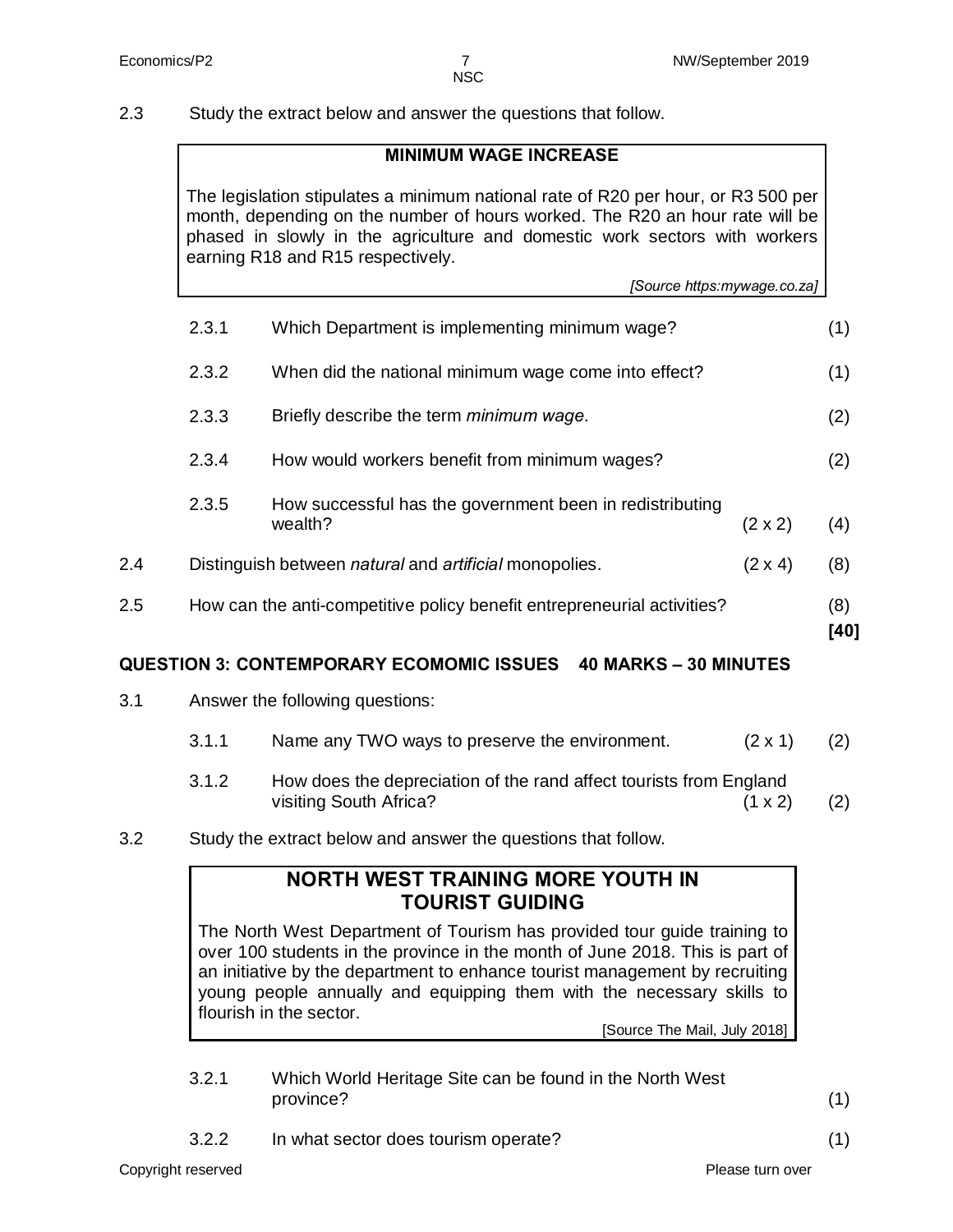2.3 Study the extract below and answer the questions that follow.

#### **MINIMUM WAGE INCREASE**

The legislation stipulates a minimum national rate of R20 per hour, or R3 500 per month, depending on the number of hours worked. The R20 an hour rate will be phased in slowly in the agriculture and domestic work sectors with workers earning R18 and R15 respectively.

*[Source https:mywage.co.za]*

| 2.5 |       | How can the anti-competitive policy benefit entrepreneurial activities? |                | (8)<br>[40] |
|-----|-------|-------------------------------------------------------------------------|----------------|-------------|
| 2.4 |       | Distinguish between natural and artificial monopolies.                  | $(2 \times 4)$ | (8)         |
|     | 2.3.5 | How successful has the government been in redistributing<br>wealth?     | $(2 \times 2)$ | (4)         |
|     | 2.3.4 | How would workers benefit from minimum wages?                           |                | (2)         |
|     | 2.3.3 | Briefly describe the term <i>minimum</i> wage.                          |                | (2)         |
|     | 2.3.2 | When did the national minimum wage come into effect?                    |                | (1)         |
|     | 2.3.1 | Which Department is implementing minimum wage?                          |                | (1)         |

#### **QUESTION 3: CONTEMPORARY ECOMOMIC ISSUES 40 MARKS – 30 MINUTES**

- 3.1 Answer the following questions:
	- 3.1.1 Name any TWO ways to preserve the environment.  $(2 \times 1)$  (2)
	- 3.1.2 How does the depreciation of the rand affect tourists from England visiting South Africa? (1 x 2) (2)
- 3.2 Study the extract below and answer the questions that follow.

### **NORTH WEST TRAINING MORE YOUTH IN TOURIST GUIDING**

The North West Department of Tourism has provided tour guide training to over 100 students in the province in the month of June 2018. This is part of an initiative by the department to enhance tourist management by recruiting young people annually and equipping them with the necessary skills to flourish in the sector.

[Source The Mail, July 2018]

3.2.1 Which World Heritage Site can be found in the North West province? (1)

3.2.2 In what sector does tourism operate? (1)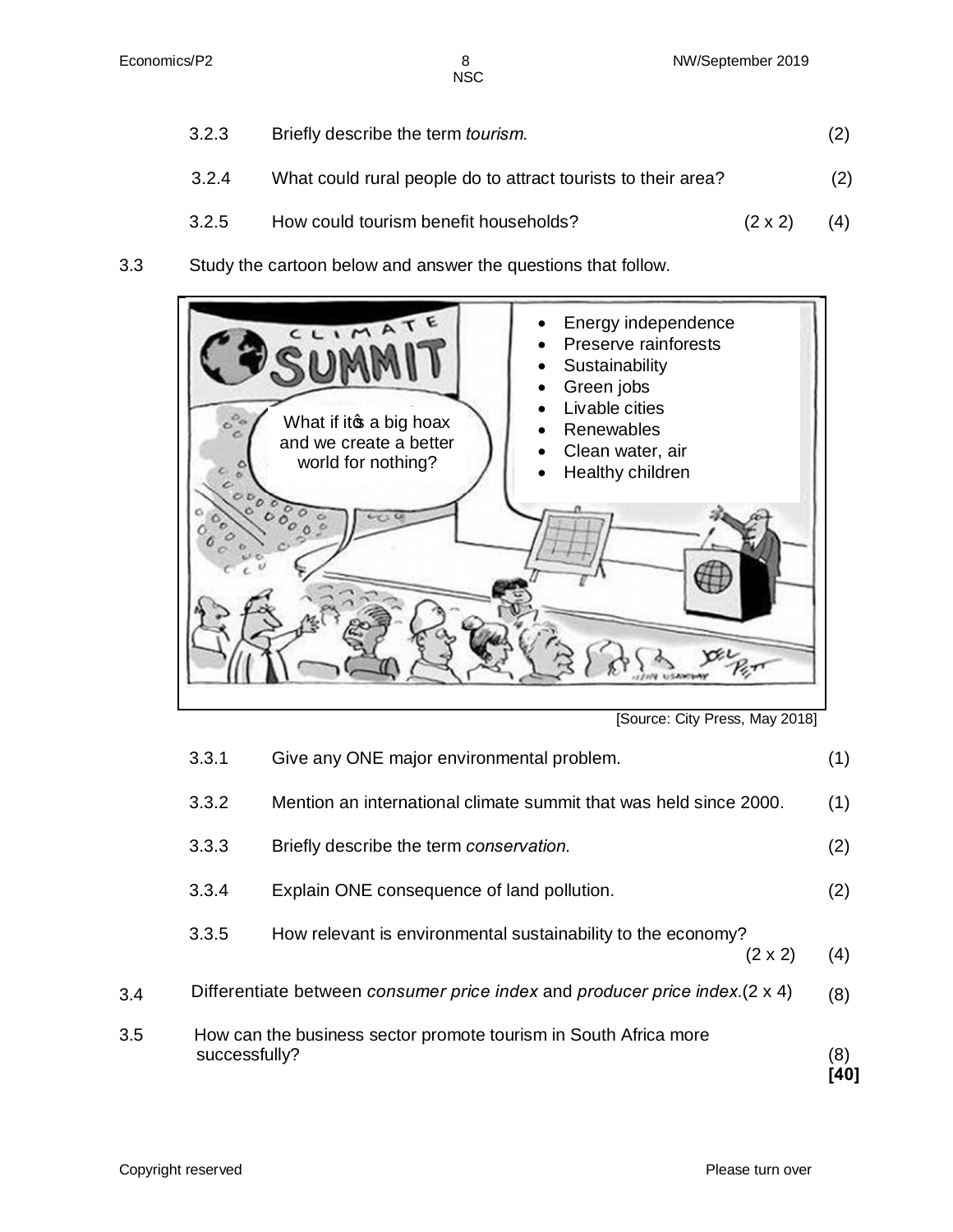**NSC** 

- 3.2.3 Briefly describe the term *tourism.* (2) 3.2.4 What could rural people do to attract tourists to their area? (2) 3.2.5 How could tourism benefit households? (2 x 2) (4)
- 3.3 Study the cartoon below and answer the questions that follow.



<sup>[</sup>Source: City Press, May 2018]

| 3.5 | successfully? | How can the business sector promote tourism in South Africa more               | (8)<br>40 |
|-----|---------------|--------------------------------------------------------------------------------|-----------|
| 3.4 |               | Differentiate between consumer price index and producer price index. (2 x 4)   | (8)       |
|     | 3.3.5         | How relevant is environmental sustainability to the economy?<br>$(2 \times 2)$ | (4)       |
|     | 3.3.4         | Explain ONE consequence of land pollution.                                     | (2)       |
|     | 3.3.3         | Briefly describe the term conservation.                                        | (2)       |
|     | 3.3.2         | Mention an international climate summit that was held since 2000.              | (1)       |
|     | 3.3.1         | Give any ONE major environmental problem.                                      | (1)       |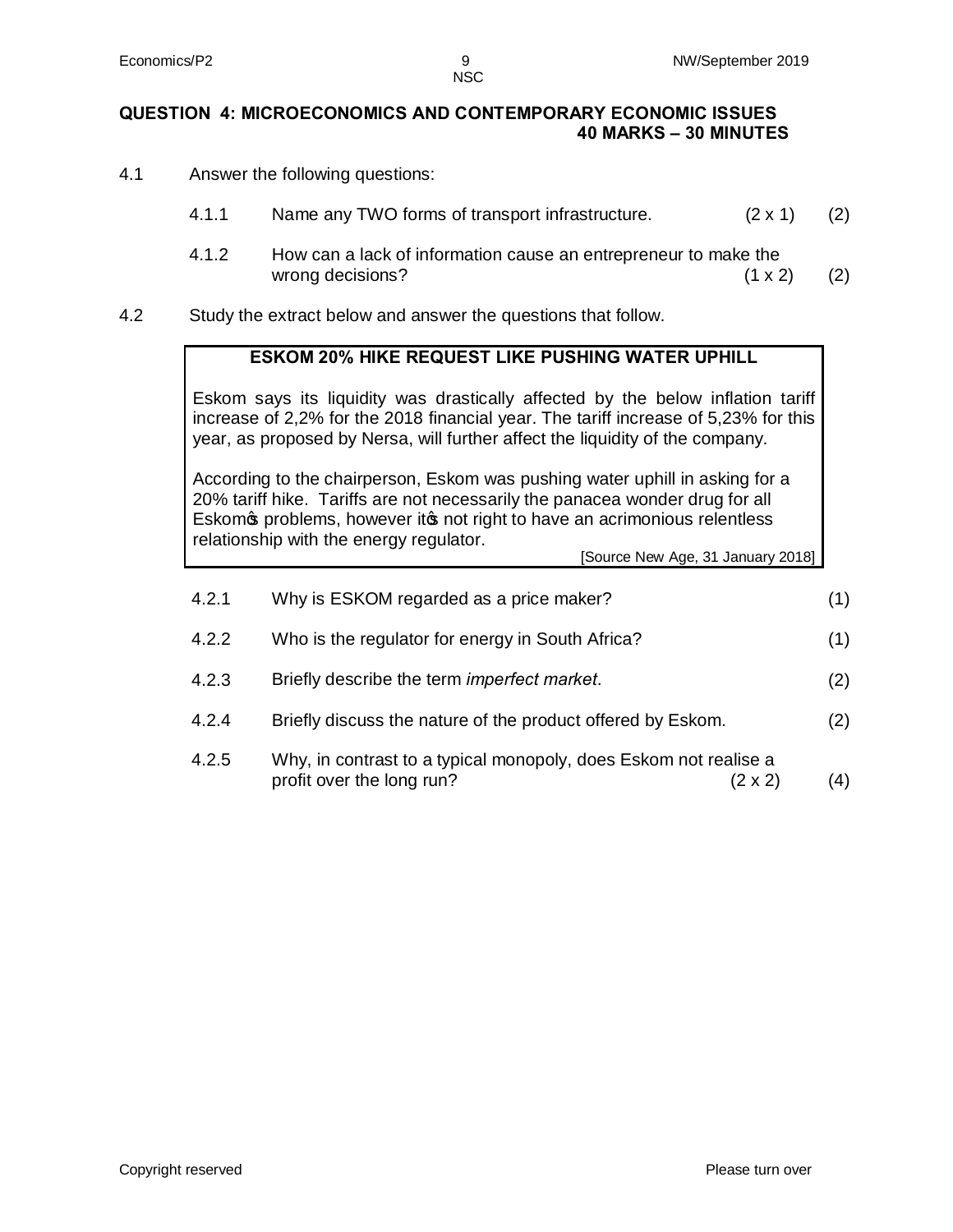#### **QUESTION 4: MICROECONOMICS AND CONTEMPORARY ECONOMIC ISSUES 40 MARKS – 30 MINUTES**

- 4.1 Answer the following questions:
	- 4.1.1 Name any TWO forms of transport infrastructure. (2 x 1) (2)
	- 4.1.2 How can a lack of information cause an entrepreneur to make the wrong decisions?  $(1 \times 2)$  (2)
- 4.2 Study the extract below and answer the questions that follow.

#### **ESKOM 20% HIKE REQUEST LIKE PUSHING WATER UPHILL**

Eskom says its liquidity was drastically affected by the below inflation tariff increase of 2,2% for the 2018 financial year. The tariff increase of 5,23% for this year, as proposed by Nersa, will further affect the liquidity of the company.

According to the chairperson, Eskom was pushing water uphill in asking for a 20% tariff hike. Tariffs are not necessarily the panacea wonder drug for all Eskom problems, however it pnot right to have an acrimonious relentless relationship with the energy regulator. [Source New Age, 31 January 2018]

| 4.2.1 | Why is ESKOM regarded as a price maker?                                                                         | (1) |
|-------|-----------------------------------------------------------------------------------------------------------------|-----|
| 4.2.2 | Who is the regulator for energy in South Africa?                                                                | (1) |
| 4.2.3 | Briefly describe the term imperfect market.                                                                     | (2) |
| 4.2.4 | Briefly discuss the nature of the product offered by Eskom.                                                     | (2) |
| 4.2.5 | Why, in contrast to a typical monopoly, does Eskom not realise a<br>profit over the long run?<br>$(2 \times 2)$ | (4) |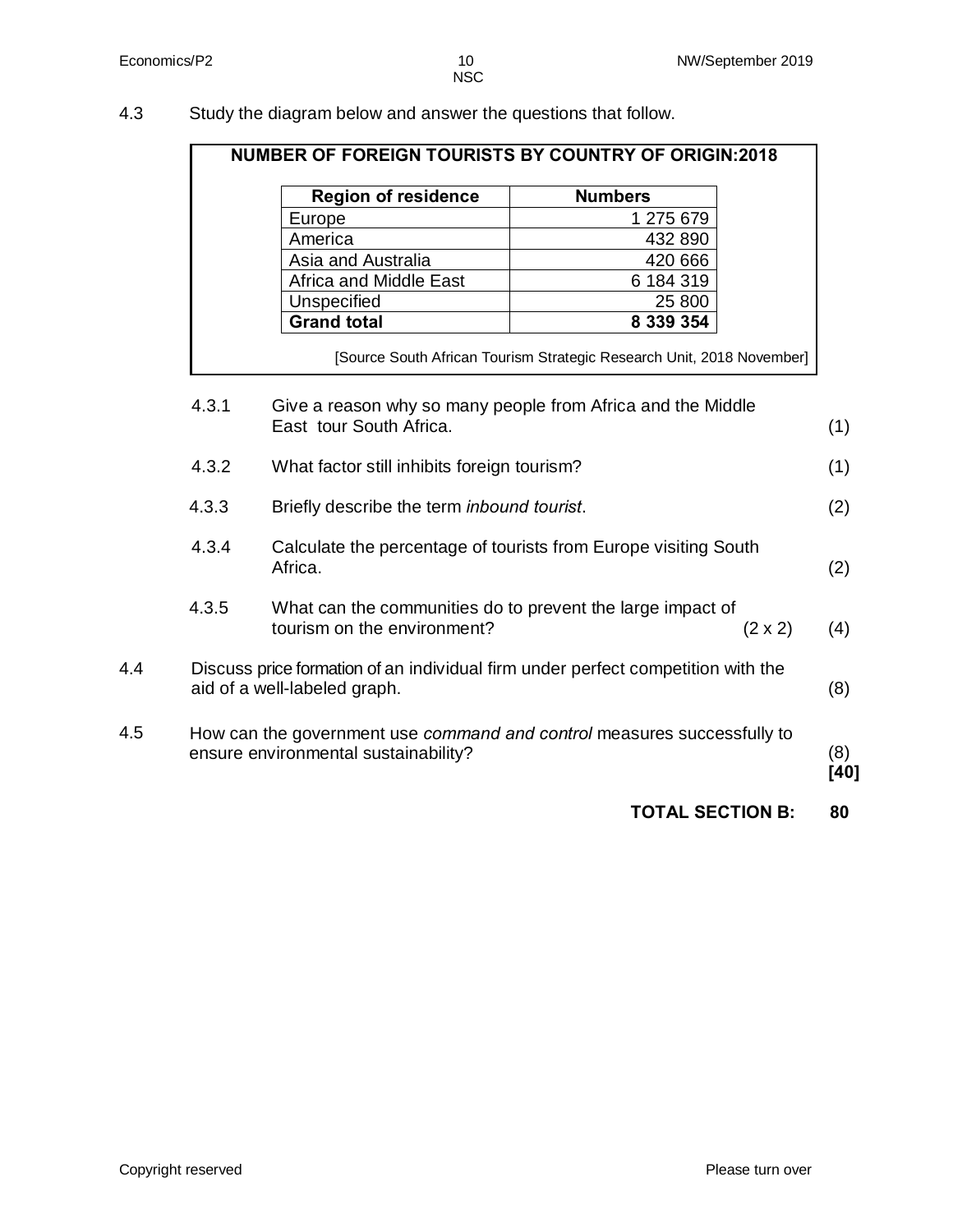4.3 Study the diagram below and answer the questions that follow.

|       | <b>Region of residence</b>                                                                                       | <b>Numbers</b>                                                        |  |
|-------|------------------------------------------------------------------------------------------------------------------|-----------------------------------------------------------------------|--|
|       | Europe                                                                                                           | 1 275 679                                                             |  |
|       | America                                                                                                          | 432 890                                                               |  |
|       | Asia and Australia                                                                                               | 420 666                                                               |  |
|       | <b>Africa and Middle East</b>                                                                                    | 6 184 319                                                             |  |
|       | Unspecified                                                                                                      | 25 800                                                                |  |
|       | <b>Grand total</b>                                                                                               | 8 339 354                                                             |  |
|       |                                                                                                                  | [Source South African Tourism Strategic Research Unit, 2018 November] |  |
| 4.3.1 | Give a reason why so many people from Africa and the Middle<br>East tour South Africa.                           |                                                                       |  |
|       |                                                                                                                  |                                                                       |  |
| 4.3.2 | What factor still inhibits foreign tourism?                                                                      |                                                                       |  |
| 4.3.3 | Briefly describe the term inbound tourist.                                                                       |                                                                       |  |
| 4.3.4 | Calculate the percentage of tourists from Europe visiting South<br>Africa.                                       |                                                                       |  |
| 4.3.5 | What can the communities do to prevent the large impact of<br>tourism on the environment?                        | $(2 \times 2)$                                                        |  |
|       | Discuss price formation of an individual firm under perfect competition with the<br>aid of a well-labeled graph. |                                                                       |  |
|       | How can the government use command and control measures successfully to<br>ensure environmental sustainability?  |                                                                       |  |
|       |                                                                                                                  | <b>TOTAL SECTION B:</b>                                               |  |